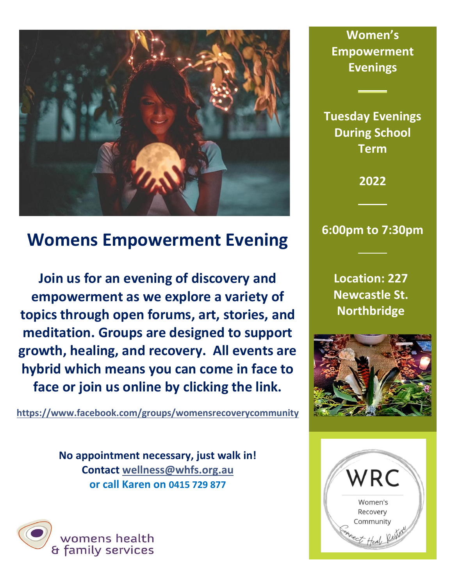

# **Womens Empowerment Evening**

**Join us for an evening of discovery and empowerment as we explore a variety of topics through open forums, art, stories, and meditation. Groups are designed to support growth, healing, and recovery. All events are hybrid which means you can come in face to face or join us online by clicking the link.**

**<https://www.facebook.com/groups/womensrecoverycommunity>**

**No appointment necessary, just walk in! Contact [wellness@whfs.org.](mailto:wellness@whfs.org)au or call Karen on 0415 729 877**



**Women's Empowerment Evenings**

**Tuesday Evenings During School Term** 

**2022**

## **6:00pm to 7:30pm**

**Location: 227 Newcastle St. Northbridge**